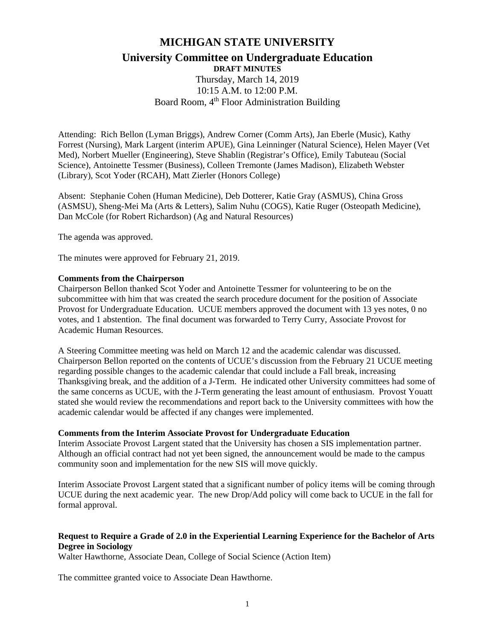# **MICHIGAN STATE UNIVERSITY**

# **University Committee on Undergraduate Education DRAFT MINUTES**

Thursday, March 14, 2019 10:15 A.M. to 12:00 P.M. Board Room, 4<sup>th</sup> Floor Administration Building

Attending: Rich Bellon (Lyman Briggs), Andrew Corner (Comm Arts), Jan Eberle (Music), Kathy Forrest (Nursing), Mark Largent (interim APUE), Gina Leinninger (Natural Science), Helen Mayer (Vet Med), Norbert Mueller (Engineering), Steve Shablin (Registrar's Office), Emily Tabuteau (Social Science), Antoinette Tessmer (Business), Colleen Tremonte (James Madison), Elizabeth Webster (Library), Scot Yoder (RCAH), Matt Zierler (Honors College)

Absent: Stephanie Cohen (Human Medicine), Deb Dotterer, Katie Gray (ASMUS), China Gross (ASMSU), Sheng-Mei Ma (Arts & Letters), Salim Nuhu (COGS), Katie Ruger (Osteopath Medicine), Dan McCole (for Robert Richardson) (Ag and Natural Resources)

The agenda was approved.

The minutes were approved for February 21, 2019.

#### **Comments from the Chairperson**

Chairperson Bellon thanked Scot Yoder and Antoinette Tessmer for volunteering to be on the subcommittee with him that was created the search procedure document for the position of Associate Provost for Undergraduate Education. UCUE members approved the document with 13 yes notes, 0 no votes, and 1 abstention. The final document was forwarded to Terry Curry, Associate Provost for Academic Human Resources.

A Steering Committee meeting was held on March 12 and the academic calendar was discussed. Chairperson Bellon reported on the contents of UCUE's discussion from the February 21 UCUE meeting regarding possible changes to the academic calendar that could include a Fall break, increasing Thanksgiving break, and the addition of a J-Term. He indicated other University committees had some of the same concerns as UCUE, with the J-Term generating the least amount of enthusiasm. Provost Youatt stated she would review the recommendations and report back to the University committees with how the academic calendar would be affected if any changes were implemented.

### **Comments from the Interim Associate Provost for Undergraduate Education**

Interim Associate Provost Largent stated that the University has chosen a SIS implementation partner. Although an official contract had not yet been signed, the announcement would be made to the campus community soon and implementation for the new SIS will move quickly.

Interim Associate Provost Largent stated that a significant number of policy items will be coming through UCUE during the next academic year. The new Drop/Add policy will come back to UCUE in the fall for formal approval.

## **Request to Require a Grade of 2.0 in the Experiential Learning Experience for the Bachelor of Arts Degree in Sociology**

Walter Hawthorne, Associate Dean, College of Social Science (Action Item)

The committee granted voice to Associate Dean Hawthorne.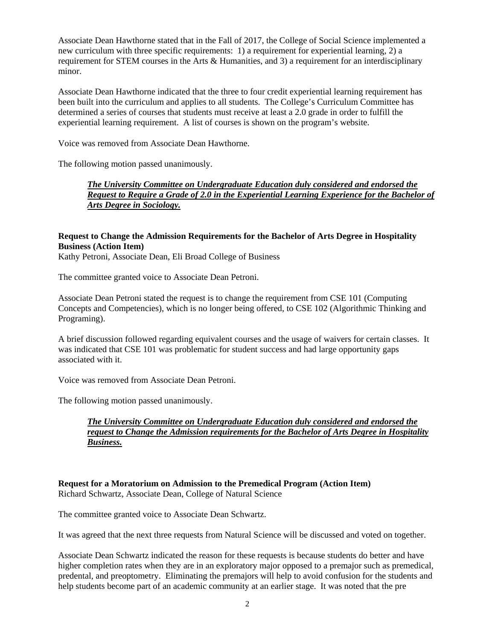Associate Dean Hawthorne stated that in the Fall of 2017, the College of Social Science implemented a new curriculum with three specific requirements: 1) a requirement for experiential learning, 2) a requirement for STEM courses in the Arts & Humanities, and 3) a requirement for an interdisciplinary minor.

Associate Dean Hawthorne indicated that the three to four credit experiential learning requirement has been built into the curriculum and applies to all students. The College's Curriculum Committee has determined a series of courses that students must receive at least a 2.0 grade in order to fulfill the experiential learning requirement. A list of courses is shown on the program's website.

Voice was removed from Associate Dean Hawthorne.

The following motion passed unanimously.

# *The University Committee on Undergraduate Education duly considered and endorsed the Request to Require a Grade of 2.0 in the Experiential Learning Experience for the Bachelor of Arts Degree in Sociology.*

# **Request to Change the Admission Requirements for the Bachelor of Arts Degree in Hospitality Business (Action Item)**

Kathy Petroni, Associate Dean, Eli Broad College of Business

The committee granted voice to Associate Dean Petroni.

Associate Dean Petroni stated the request is to change the requirement from CSE 101 (Computing Concepts and Competencies), which is no longer being offered, to CSE 102 (Algorithmic Thinking and Programing).

A brief discussion followed regarding equivalent courses and the usage of waivers for certain classes. It was indicated that CSE 101 was problematic for student success and had large opportunity gaps associated with it.

Voice was removed from Associate Dean Petroni.

The following motion passed unanimously.

*The University Committee on Undergraduate Education duly considered and endorsed the request to Change the Admission requirements for the Bachelor of Arts Degree in Hospitality Business.* 

### **Request for a Moratorium on Admission to the Premedical Program (Action Item)** Richard Schwartz, Associate Dean, College of Natural Science

The committee granted voice to Associate Dean Schwartz.

It was agreed that the next three requests from Natural Science will be discussed and voted on together.

Associate Dean Schwartz indicated the reason for these requests is because students do better and have higher completion rates when they are in an exploratory major opposed to a premajor such as premedical, predental, and preoptometry. Eliminating the premajors will help to avoid confusion for the students and help students become part of an academic community at an earlier stage. It was noted that the pre